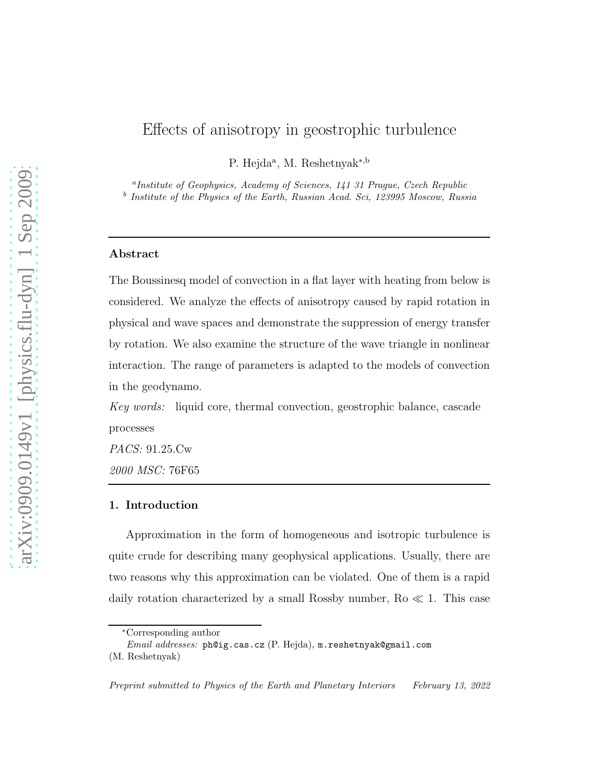# Effects of anisotropy in geostrophic turbulence

P. Hejda<sup>a</sup>, M. Reshetnyak<sup>\*,b</sup>

a *Institute of Geophysics, Academy of Sciences, 141 31 Prague, Czech Republic* b *Institute of the Physics of the Earth, Russian Acad. Sci, 123995 Moscow, Russia*

# Abstract

The Boussinesq model of convection in a flat layer with heating from below is considered. We analyze the effects of anisotropy caused by rapid rotation in physical and wave spaces and demonstrate the suppression of energy transfer by rotation. We also examine the structure of the wave triangle in nonlinear interaction. The range of parameters is adapted to the models of convection in the geodynamo.

*Key words:* liquid core, thermal convection, geostrophic balance, cascade processes

*PACS:* 91.25.Cw *2000 MSC:* 76F65

# 1. Introduction

Approximation in the form of homogeneous and isotropic turbulence is quite crude for describing many geophysical applications. Usually, there are two reasons why this approximation can be violated. One of them is a rapid daily rotation characterized by a small Rossby number,  $Ro \ll 1$ . This case

<sup>∗</sup>Corresponding author

*Email addresses:* ph@ig.cas.cz (P. Hejda), m.reshetnyak@gmail.com

<sup>(</sup>M. Reshetnyak)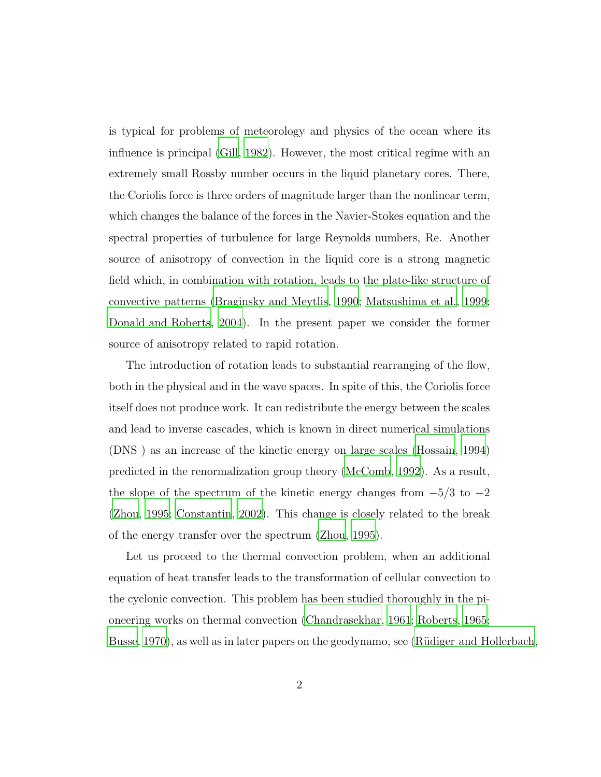is typical for problems of meteorology and physics of the ocean where its influence is principal [\(Gill, 1982](#page-19-0)). However, the most critical regime with an extremely small Rossby number occurs in the liquid planetary cores. There, the Coriolis force is three orders of magnitude larger than the nonlinear term, which changes the balance of the forces in the Navier-Stokes equation and the spectral properties of turbulence for large Reynolds numbers, Re. Another source of anisotropy of convection in the liquid core is a strong magnetic field which, in combination with rotation, leads to the plate-like structure of convective patterns [\(Braginsky and Meytlis](#page-18-0), [1990;](#page-18-0) [Matsushima et](#page-19-1) al., [1999](#page-19-1); [Donald and Roberts, 2004\)](#page-19-2). In the present paper we consider the former source of anisotropy related to rapid rotation.

The introduction of rotation leads to substantial rearranging of the flow, both in the physical and in the wave spaces. In spite of this, the Coriolis force itself does not produce work. It can redistribute the energy between the scales and lead to inverse cascades, which is known in direct numerical simulations (DNS ) as an increase of the kinetic energy on large scales [\(Hossain,](#page-19-3) [1994\)](#page-19-3) predicted in the renormalization group theory [\(McComb](#page-19-4), [1992](#page-19-4)). As a result, the slope of the spectrum of the kinetic energy changes from  $-5/3$  to  $-2$ [\(Zhou](#page-20-0), [1995](#page-20-0); [Constantin](#page-18-1), [2002\)](#page-18-1). This change is closely related to the break of the energy transfer over the spectrum [\(Zhou, 1995\)](#page-20-0).

Let us proceed to the thermal convection problem, when an additional equation of heat transfer leads to the transformation of cellular convection to the cyclonic convection. This problem has been studied thoroughly in the pioneering works on thermal convection [\(Chandrasekhar](#page-18-2), [1961;](#page-18-2) [Roberts, 1965](#page-20-1); [Busse](#page-18-3), [1970](#page-18-3)), as well as in later papers on the geodynamo, see (Rüdiger and Hollerbach,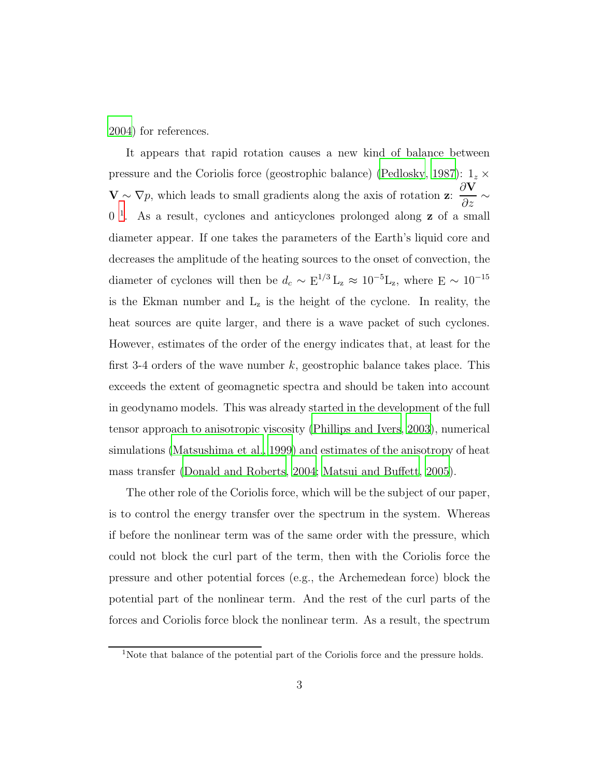[2004](#page-20-2)) for references.

It appears that rapid rotation causes a new kind of balance between pressure and the Coriolis force (geostrophic balance) [\(Pedlosky](#page-20-3), [1987\)](#page-20-3):  $1_z \times$  $\mathbf{V} \sim \nabla p$ , which leads to small gradients along the axis of rotation z: ∂V  $rac{\partial}{\partial z}$  ∼ 0 [1](#page-2-0) . As a result, cyclones and anticyclones prolonged along z of a small diameter appear. If one takes the parameters of the Earth's liquid core and decreases the amplitude of the heating sources to the onset of convection, the diameter of cyclones will then be  $d_c \sim E^{1/3} L_z \approx 10^{-5} L_z$ , where  $E \sim 10^{-15}$ is the Ekman number and  $L_z$  is the height of the cyclone. In reality, the heat sources are quite larger, and there is a wave packet of such cyclones. However, estimates of the order of the energy indicates that, at least for the first 3-4 orders of the wave number  $k$ , geostrophic balance takes place. This exceeds the extent of geomagnetic spectra and should be taken into account in geodynamo models. This was already started in the development of the full tensor approach to anisotropic viscosity [\(Phillips and Ivers](#page-20-4), [2003\)](#page-20-4), numerical simulations [\(Matsushima et al.](#page-19-1), [1999\)](#page-19-1) and estimates of the anisotropy of heat mass transfer [\(Donald and Roberts](#page-19-2), [2004;](#page-19-2) [Matsui and Buffett](#page-19-5), [2005\)](#page-19-5).

The other role of the Coriolis force, which will be the subject of our paper, is to control the energy transfer over the spectrum in the system. Whereas if before the nonlinear term was of the same order with the pressure, which could not block the curl part of the term, then with the Coriolis force the pressure and other potential forces (e.g., the Archemedean force) block the potential part of the nonlinear term. And the rest of the curl parts of the forces and Coriolis force block the nonlinear term. As a result, the spectrum

<span id="page-2-0"></span><sup>&</sup>lt;sup>1</sup>Note that balance of the potential part of the Coriolis force and the pressure holds.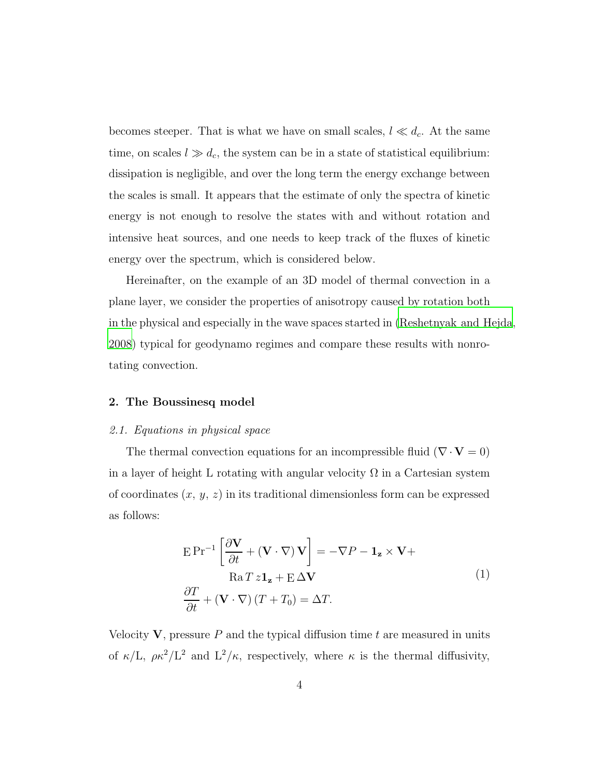becomes steeper. That is what we have on small scales,  $l \ll d_c$ . At the same time, on scales  $l \gg d_c$ , the system can be in a state of statistical equilibrium: dissipation is negligible, and over the long term the energy exchange between the scales is small. It appears that the estimate of only the spectra of kinetic energy is not enough to resolve the states with and without rotation and intensive heat sources, and one needs to keep track of the fluxes of kinetic energy over the spectrum, which is considered below.

Hereinafter, on the example of an 3D model of thermal convection in a plane layer, we consider the properties of anisotropy caused by rotation both in the physical and especially in the wave spaces started in [\(Reshetnyak and Hejda](#page-20-5), [2008](#page-20-5)) typical for geodynamo regimes and compare these results with nonrotating convection.

## 2. The Boussinesq model

#### *2.1. Equations in physical space*

The thermal convection equations for an incompressible fluid ( $\nabla \cdot \mathbf{V} = 0$ ) in a layer of height L rotating with angular velocity  $\Omega$  in a Cartesian system of coordinates  $(x, y, z)$  in its traditional dimensionless form can be expressed as follows:

<span id="page-3-0"></span>
$$
\mathbf{E} \mathbf{Pr}^{-1} \left[ \frac{\partial \mathbf{V}}{\partial t} + (\mathbf{V} \cdot \nabla) \mathbf{V} \right] = -\nabla P - \mathbf{1}_{\mathbf{z}} \times \mathbf{V} +
$$
  
\n
$$
\mathbf{R} \mathbf{a} T z \mathbf{1}_{\mathbf{z}} + \mathbf{E} \Delta \mathbf{V}
$$
  
\n
$$
\frac{\partial T}{\partial t} + (\mathbf{V} \cdot \nabla) (T + T_0) = \Delta T.
$$
\n(1)

Velocity  $V$ , pressure P and the typical diffusion time t are measured in units of  $\kappa/L$ ,  $\rho \kappa^2/L^2$  and  $L^2/\kappa$ , respectively, where  $\kappa$  is the thermal diffusivity,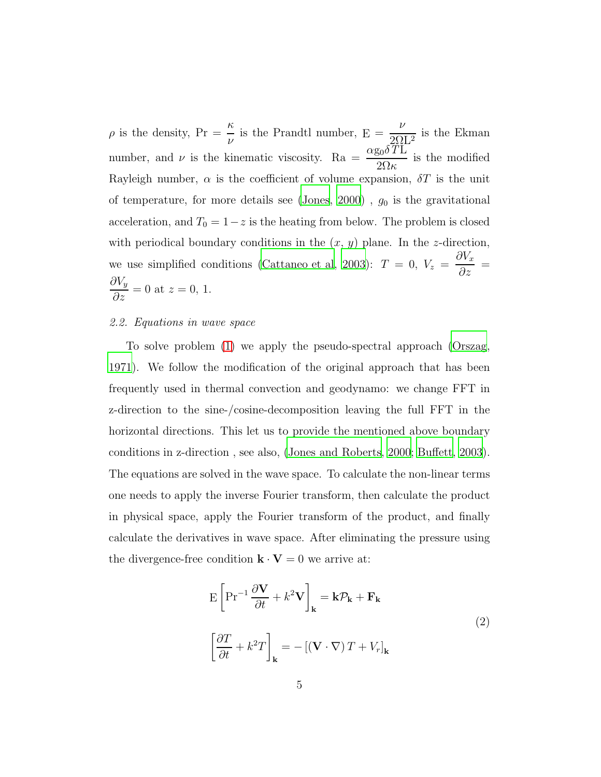$\rho$  is the density, Pr =  $\frac{\kappa}{\rho}$  $\frac{\pi}{\nu}$  is the Prandtl number, E = ν  $\frac{2}{2\Omega L^2}$  is the Ekman number, and  $\nu$  is the kinematic viscosity. Ra =  $\frac{\alpha g_0 \delta T L}{2Q}$ 2Ωκ is the modified Rayleigh number,  $\alpha$  is the coefficient of volume expansion,  $\delta T$  is the unit of temperature, for more details see [\(Jones](#page-19-6), [2000\)](#page-19-6),  $g_0$  is the gravitational acceleration, and  $T_0 = 1 - z$  is the heating from below. The problem is closed with periodical boundary conditions in the  $(x, y)$  plane. In the z-direction, we use simplified conditions [\(Cattaneo et al](#page-18-4), [2003](#page-18-4)):  $T = 0$ ,  $V_z =$  $\partial V_x$  $rac{\partial}{\partial z}$  =  $\partial V_y$  $rac{\partial y}{\partial z} = 0$  at  $z = 0, 1$ .

# *2.2. Equations in wave space*

To solve problem [\(1\)](#page-3-0) we apply the pseudo-spectral approach [\(Orszag](#page-20-6), [1971](#page-20-6)). We follow the modification of the original approach that has been frequently used in thermal convection and geodynamo: we change FFT in z-direction to the sine-/cosine-decomposition leaving the full FFT in the horizontal directions. This let us to provide the mentioned above boundary conditions in z-direction , see also, [\(Jones and Roberts, 2000;](#page-19-7) [Buffett](#page-18-5), [2003\)](#page-18-5). The equations are solved in the wave space. To calculate the non-linear terms one needs to apply the inverse Fourier transform, then calculate the product in physical space, apply the Fourier transform of the product, and finally calculate the derivatives in wave space. After eliminating the pressure using the divergence-free condition  $\mathbf{k}\cdot\mathbf{V}=0$  we arrive at:

$$
E\left[\Pr^{-1}\frac{\partial V}{\partial t} + k^2 V\right]_k = k\mathcal{P}_k + F_k
$$
  

$$
\left[\frac{\partial T}{\partial t} + k^2 T\right]_k = -\left[\left(V \cdot \nabla\right) T + V_r\right]_k
$$
 (2)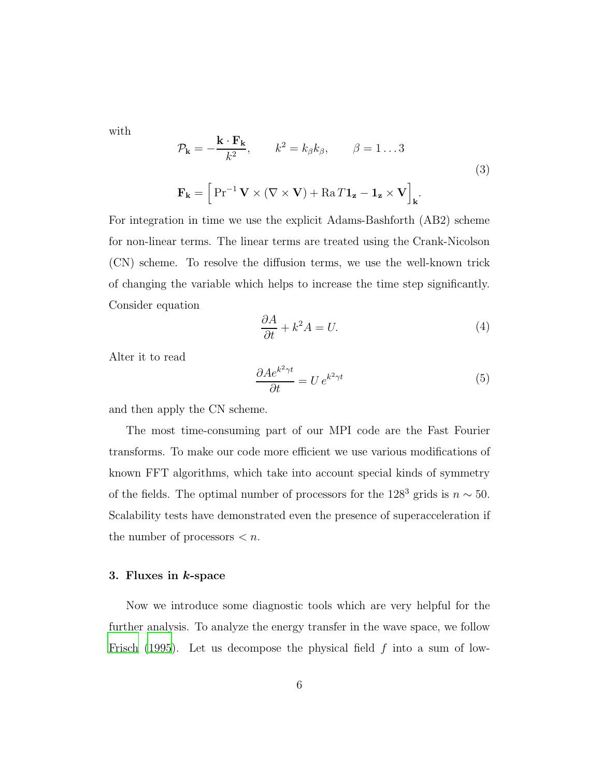with

$$
\mathcal{P}_{\mathbf{k}} = -\frac{\mathbf{k} \cdot \mathbf{F}_{\mathbf{k}}}{k^2}, \qquad k^2 = k_{\beta} k_{\beta}, \qquad \beta = 1...3
$$
\n
$$
\mathbf{F}_{\mathbf{k}} = \left[ \Pr^{-1} \mathbf{V} \times (\nabla \times \mathbf{V}) + \text{Ra} T \mathbf{1}_{\mathbf{z}} - \mathbf{1}_{\mathbf{z}} \times \mathbf{V} \right]_{\mathbf{k}}.
$$
\n(3)

For integration in time we use the explicit Adams-Bashforth (AB2) scheme for non-linear terms. The linear terms are treated using the Crank-Nicolson (CN) scheme. To resolve the diffusion terms, we use the well-known trick of changing the variable which helps to increase the time step significantly. Consider equation

$$
\frac{\partial A}{\partial t} + k^2 A = U.
$$
 (4)

Alter it to read

$$
\frac{\partial Ae^{k^2\gamma t}}{\partial t} = U e^{k^2\gamma t} \tag{5}
$$

and then apply the CN scheme.

The most time-consuming part of our MPI code are the Fast Fourier transforms. To make our code more efficient we use various modifications of known FFT algorithms, which take into account special kinds of symmetry of the fields. The optimal number of processors for the 128<sup>3</sup> grids is  $n \sim 50$ . Scalability tests have demonstrated even the presence of superacceleration if the number of processors  $\lt n$ .

# 3. Fluxes in k-space

Now we introduce some diagnostic tools which are very helpful for the further analysis. To analyze the energy transfer in the wave space, we follow [Frisch \(1995\)](#page-19-8). Let us decompose the physical field  $f$  into a sum of low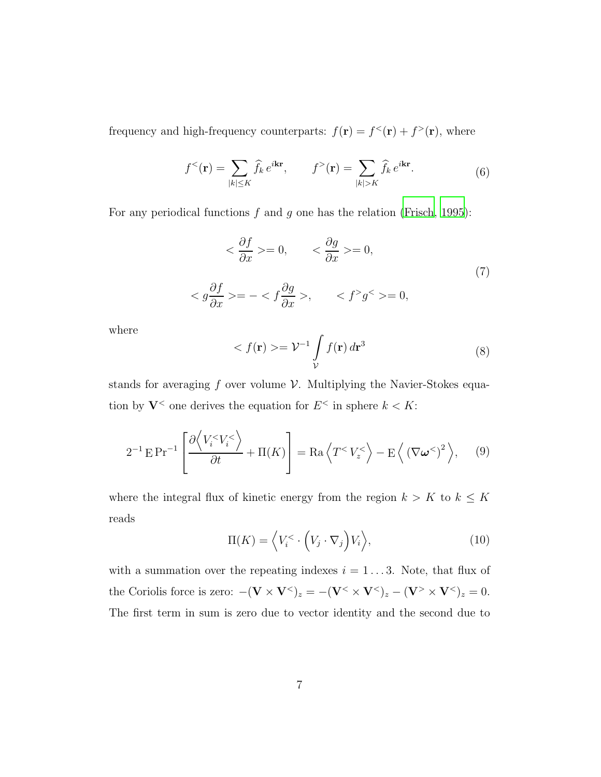frequency and high-frequency counterparts:  $f(\mathbf{r}) = f^{\langle \mathbf{r} \rangle} + f^{\rangle}(\mathbf{r})$ , where

$$
f^{<}(\mathbf{r}) = \sum_{|k| \le K} \widehat{f}_k e^{i\mathbf{k}\mathbf{r}}, \qquad f^{>}(\mathbf{r}) = \sum_{|k| > K} \widehat{f}_k e^{i\mathbf{k}\mathbf{r}}.
$$
 (6)

For any periodical functions  $f$  and  $g$  one has the relation [\(Frisch](#page-19-8), [1995](#page-19-8)):

$$
\langle \frac{\partial f}{\partial x} \rangle = 0, \qquad \langle \frac{\partial g}{\partial x} \rangle = 0,
$$
  

$$
\langle g \frac{\partial f}{\partial x} \rangle = -\langle f \frac{\partial g}{\partial x} \rangle, \qquad \langle f^{\rangle} g^{\langle \rangle} \rangle = 0,
$$
 (7)

where

$$
\langle f(\mathbf{r}) \rangle = \mathcal{V}^{-1} \int\limits_{\mathcal{V}} f(\mathbf{r}) d\mathbf{r}^3 \tag{8}
$$

stands for averaging  $f$  over volume  $V$ . Multiplying the Navier-Stokes equation by  $V^{\leq}$  one derives the equation for  $E^{\leq}$  in sphere  $k < K$ :

$$
2^{-1} E Pr^{-1} \left[ \frac{\partial \left\langle V_i^{\langle \cdot} V_i^{\langle \cdot \rangle} \right\rangle}{\partial t} + \Pi(K) \right] = \text{Ra} \left\langle T^{\langle \cdot \rangle} V_z^{\langle \cdot \rangle} \right\rangle - E \left\langle (\nabla \omega^{\langle \cdot \rangle})^2 \right\rangle, \quad (9)
$$

where the integral flux of kinetic energy from the region  $k > K$  to  $k \leq K$ reads

<span id="page-6-0"></span>
$$
\Pi(K) = \left\langle V_i^{\lt} \cdot \left( V_j \cdot \nabla_j \right) V_i \right\rangle, \tag{10}
$$

with a summation over the repeating indexes  $i = 1...3$ . Note, that flux of the Coriolis force is zero:  $-(\mathbf{V} \times \mathbf{V}^{\ltimes})_z = -(\mathbf{V}^{\ltimes} \times \mathbf{V}^{\ltimes})_z - (\mathbf{V}^{\gt} \times \mathbf{V}^{\ltimes})_z = 0.$ The first term in sum is zero due to vector identity and the second due to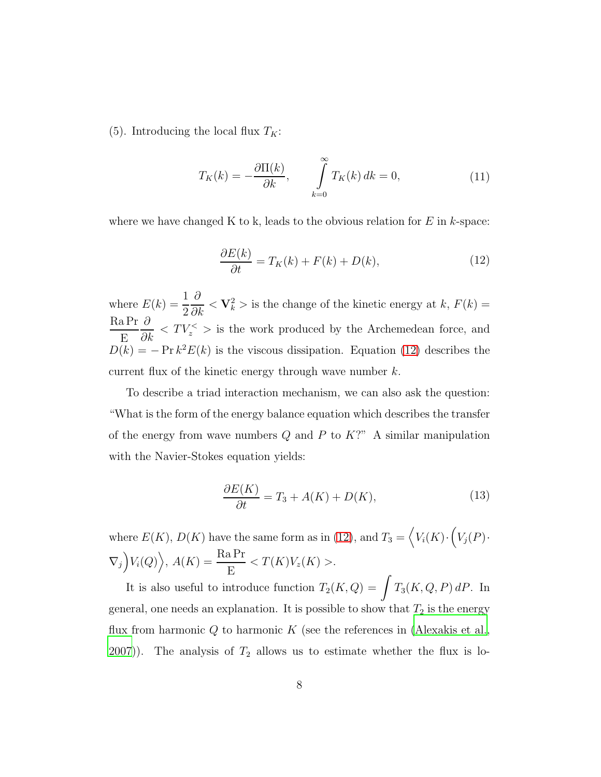(5). Introducing the local flux  $T_K$ :

$$
T_K(k) = -\frac{\partial \Pi(k)}{\partial k}, \qquad \int_{k=0}^{\infty} T_K(k) \, dk = 0,\tag{11}
$$

where we have changed K to k, leads to the obvious relation for  $E$  in k-space:

<span id="page-7-0"></span>
$$
\frac{\partial E(k)}{\partial t} = T_K(k) + F(k) + D(k),\tag{12}
$$

where  $E(k) = \frac{1}{2}$ 2  $\frac{\partial}{\partial k}$  < **V**<sup>2</sup><sub>k</sub> > is the change of the kinetic energy at k,  $F(k)$  = Ra Pr E  $\frac{\partial}{\partial k}$  <  $TV_z^{\lt}$  > is the work produced by the Archemedean force, and  $D(k) = -\Pr k^2 E(k)$  is the viscous dissipation. Equation [\(12\)](#page-7-0) describes the current flux of the kinetic energy through wave number  $k$ .

To describe a triad interaction mechanism, we can also ask the question: "What is the form of the energy balance equation which describes the transfer of the energy from wave numbers  $Q$  and  $P$  to  $K$ ?" A similar manipulation with the Navier-Stokes equation yields:

$$
\frac{\partial E(K)}{\partial t} = T_3 + A(K) + D(K),\tag{13}
$$

where  $E(K)$ ,  $D(K)$  have the same form as in [\(12\)](#page-7-0), and  $T_3 = \langle V_i(K) \cdot (V_j(P)) \cdot$  $\nabla_j V_i(Q)$ ,  $A(K) = \frac{\operatorname{RaPr}}{\Gamma}$ E  $\langle T(K)V_z(K)\rangle.$ 

It is also useful to introduce function  $T_2(K,Q) = \int T_3(K,Q,P) dP$ . In general, one needs an explanation. It is possible to show that  $T_2$  is the energy flux from harmonic  $Q$  to harmonic  $K$  (see the references in [\(Alexakis et al.](#page-18-6),  $(2007)$  $(2007)$  $(2007)$ ). The analysis of  $T_2$  allows us to estimate whether the flux is lo-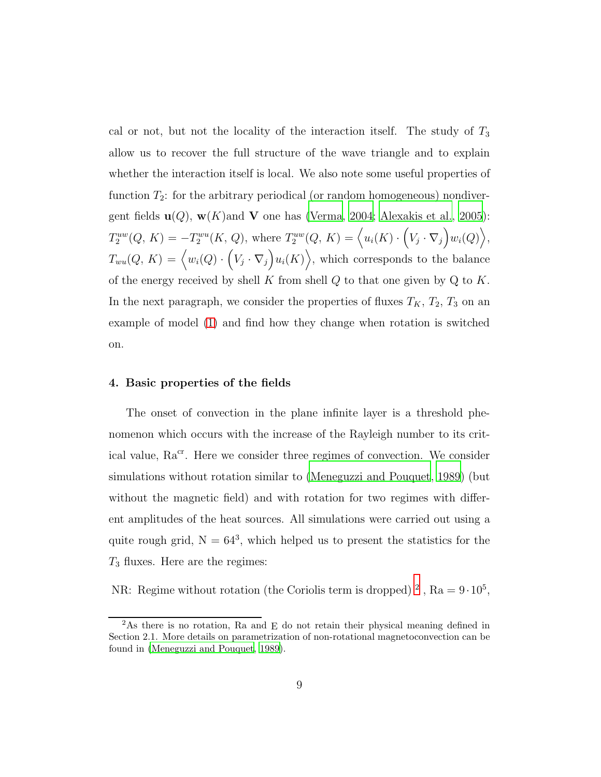cal or not, but not the locality of the interaction itself. The study of  $T_3$ allow us to recover the full structure of the wave triangle and to explain whether the interaction itself is local. We also note some useful properties of function  $T_2$ : for the arbitrary periodical (or random homogeneous) nondivergent fields  $\mathbf{u}(Q)$ ,  $\mathbf{w}(K)$  and V one has [\(Verma, 2004;](#page-20-7) [Alexakis et al., 2005\)](#page-18-7):  $T_2^{uw}(Q, K) = -T_2^{wu}(K, Q)$ , where  $T_2^{uw}(Q, K) = \langle u_i(K) \cdot (V_j \cdot \nabla_j) w_i(Q) \rangle$ ,  $T_{wu}(Q, K) = \langle w_i(Q) \cdot (V_j \cdot \nabla_j) u_i(K) \rangle$ , which corresponds to the balance of the energy received by shell  $K$  from shell  $Q$  to that one given by  $Q$  to  $K$ . In the next paragraph, we consider the properties of fluxes  $T_K$ ,  $T_2$ ,  $T_3$  on an example of model [\(1\)](#page-3-0) and find how they change when rotation is switched on.

### 4. Basic properties of the fields

The onset of convection in the plane infinite layer is a threshold phenomenon which occurs with the increase of the Rayleigh number to its critical value, Ra<sup>cr</sup>. Here we consider three regimes of convection. We consider simulations without rotation similar to [\(Meneguzzi and Pouquet](#page-19-9), [1989](#page-19-9)) (but without the magnetic field) and with rotation for two regimes with different amplitudes of the heat sources. All simulations were carried out using a quite rough grid,  $N = 64^3$ , which helped us to present the statistics for the  $T_3$  fluxes. Here are the regimes:

NR: Regime without rotation (the Coriolis term is dropped)<sup>[2](#page-8-0)</sup>, Ra =  $9 \cdot 10^5$ ,

<span id="page-8-0"></span><sup>&</sup>lt;sup>2</sup>As there is no rotation, Ra and E do not retain their physical meaning defined in Section 2.1. More details on parametrization of non-rotational magnetoconvection can be found in [\(Meneguzzi and Pouquet, 1989\)](#page-19-9).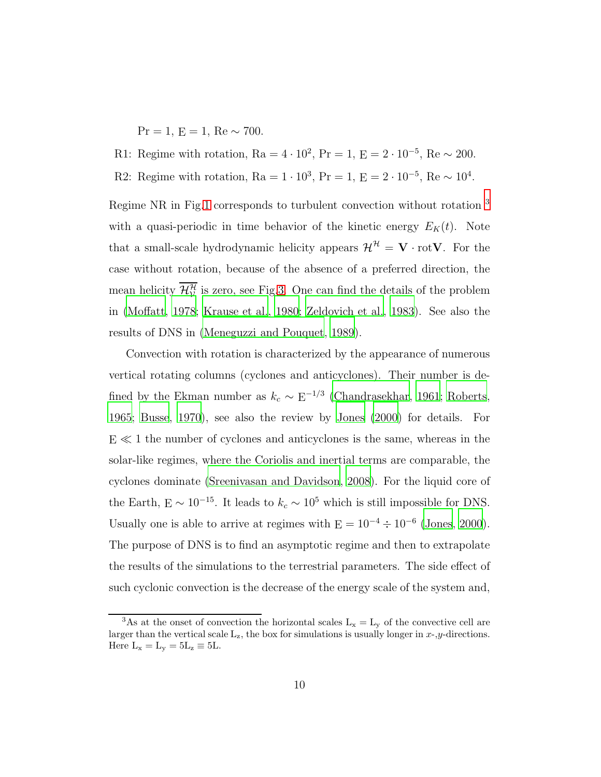$Pr = 1, E = 1, Re \sim 700.$ 

R1: Regime with rotation,  $Ra = 4 \cdot 10^2$ ,  $Pr = 1$ ,  $E = 2 \cdot 10^{-5}$ ,  $Re \sim 200$ .

R2: Regime with rotation, Ra =  $1 \cdot 10^3$ , Pr = 1, E =  $2 \cdot 10^{-5}$ , Re  $\sim 10^4$ .

Regime NR in Fig[.1](#page-21-0) corresponds to turbulent convection without rotation [3](#page-9-0) with a quasi-periodic in time behavior of the kinetic energy  $E_K(t)$ . Note that a small-scale hydrodynamic helicity appears  $\mathcal{H}^{\mathcal{H}} = \mathbf{V} \cdot \text{rot} \mathbf{V}$ . For the case without rotation, because of the absence of a preferred direction, the mean helicity  $\mathcal{H}_{\mathcal{V}}^{\mathcal{H}}$  is zero, see Fig[.3.](#page-23-0) One can find the details of the problem in [\(Moffatt](#page-19-10), [1978;](#page-19-10) [Krause et al.](#page-19-11), [1980;](#page-19-11) [Zeldovich et al., 1983](#page-20-8)). See also the results of DNS in [\(Meneguzzi and Pouquet](#page-19-9), [1989](#page-19-9)).

Convection with rotation is characterized by the appearance of numerous vertical rotating columns (cyclones and anticyclones). Their number is defined by the Ekman number as  $k_c \sim E^{-1/3}$  [\(Chandrasekhar](#page-18-2), [1961](#page-18-2); [Roberts](#page-20-1), [1965](#page-20-1); [Busse](#page-18-3), [1970\)](#page-18-3), see also the review by [Jones \(2000](#page-19-6)) for details. For  $E \ll 1$  the number of cyclones and anticyclones is the same, whereas in the solar-like regimes, where the Coriolis and inertial terms are comparable, the cyclones dominate [\(Sreenivasan and Davidson](#page-20-9), [2008](#page-20-9)). For the liquid core of the Earth, E  $\sim 10^{-15}$ . It leads to  $k_c \sim 10^5$  which is still impossible for DNS. Usually one is able to arrive at regimes with  $E = 10^{-4} \div 10^{-6}$  [\(Jones](#page-19-6), [2000\)](#page-19-6). The purpose of DNS is to find an asymptotic regime and then to extrapolate the results of the simulations to the terrestrial parameters. The side effect of such cyclonic convection is the decrease of the energy scale of the system and,

<span id="page-9-0"></span><sup>&</sup>lt;sup>3</sup>As at the onset of convection the horizontal scales  $L_x = L_y$  of the convective cell are larger than the vertical scale  $L_z$ , the box for simulations is usually longer in  $x$ -,y-directions. Here  $L_x = L_y = 5L_z \equiv 5L$ .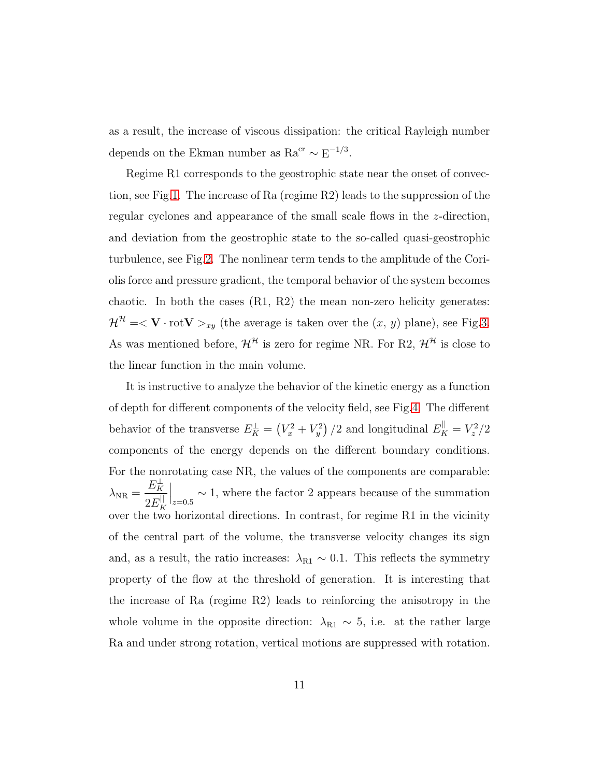as a result, the increase of viscous dissipation: the critical Rayleigh number depends on the Ekman number as  $Ra^{cr} \sim E^{-1/3}$ .

Regime R1 corresponds to the geostrophic state near the onset of convection, see Fig[.1.](#page-21-0) The increase of Ra (regime R2) leads to the suppression of the regular cyclones and appearance of the small scale flows in the z-direction, and deviation from the geostrophic state to the so-called quasi-geostrophic turbulence, see Fig[.2.](#page-22-0) The nonlinear term tends to the amplitude of the Coriolis force and pressure gradient, the temporal behavior of the system becomes chaotic. In both the cases (R1, R2) the mean non-zero helicity generates:  $\mathcal{H}^{\mathcal{H}} = \langle \mathbf{V} \cdot \text{rot} \mathbf{V} \rangle_{xy}$  (the average is taken over the  $(x, y)$  plane), see Fig[.3.](#page-23-0) As was mentioned before,  $\mathcal{H}^{\mathcal{H}}$  is zero for regime NR. For R2,  $\mathcal{H}^{\mathcal{H}}$  is close to the linear function in the main volume.

It is instructive to analyze the behavior of the kinetic energy as a function of depth for different components of the velocity field, see Fig[.4.](#page-24-0) The different behavior of the transverse  $E_K^{\perp} = (V_x^2 + V_y^2)/2$  and longitudinal  $E_K^{\parallel} = V_z^2/2$ components of the energy depends on the different boundary conditions. For the nonrotating case NR, the values of the components are comparable:  $\lambda_{\rm NR} =$  $E_K^\perp$  $2E_{K}^{||}$ K  $\Big|_{z=0.5} \sim 1$ , where the factor 2 appears because of the summation over the two horizontal directions. In contrast, for regime R1 in the vicinity of the central part of the volume, the transverse velocity changes its sign and, as a result, the ratio increases:  $\lambda_{\text{R1}} \sim 0.1$ . This reflects the symmetry property of the flow at the threshold of generation. It is interesting that the increase of Ra (regime R2) leads to reinforcing the anisotropy in the whole volume in the opposite direction:  $\lambda_{R1} \sim 5$ , i.e. at the rather large Ra and under strong rotation, vertical motions are suppressed with rotation.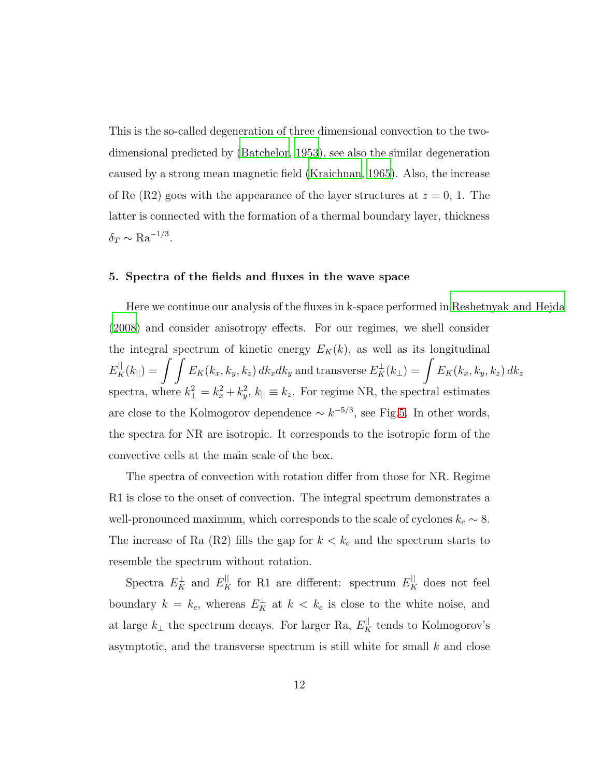This is the so-called degeneration of three dimensional convection to the twodimensional predicted by [\(Batchelor](#page-18-8), [1953\)](#page-18-8), see also the similar degeneration caused by a strong mean magnetic field [\(Kraichnan](#page-19-12), [1965](#page-19-12)). Also, the increase of Re  $(R2)$  goes with the appearance of the layer structures at  $z = 0$ , 1. The latter is connected with the formation of a thermal boundary layer, thickness  $\delta_T \sim \mathrm{Ra}^{-1/3}.$ 

## 5. Spectra of the fields and fluxes in the wave space

Here we continue our analysis of the fluxes in k-space performed in [Reshetnyak and Hejda](#page-20-5) [\(2008\)](#page-20-5) and consider anisotropy effects. For our regimes, we shell consider the integral spectrum of kinetic energy  $E_K(k)$ , as well as its longitudinal  $E_K^{\parallel}(k_{\parallel}) = \int \int E_K(k_x, k_y, k_z) \, dk_x dk_y$  and transverse  $E$  $\frac{1}{K}(k_\perp)=\int E_K(k_x,k_y,k_z)\,dk_z$ spectra, where  $k_{\perp}^2 = k_x^2 + k_y^2$ ,  $k_{\parallel} \equiv k_z$ . For regime NR, the spectral estimates are close to the Kolmogorov dependence  $\sim k^{-5/3}$ , see Fig[.5.](#page-25-0) In other words, the spectra for NR are isotropic. It corresponds to the isotropic form of the convective cells at the main scale of the box.

The spectra of convection with rotation differ from those for NR. Regime R1 is close to the onset of convection. The integral spectrum demonstrates a well-pronounced maximum, which corresponds to the scale of cyclones  $k_c \sim 8.$ The increase of Ra (R2) fills the gap for  $k < k_c$  and the spectrum starts to resemble the spectrum without rotation.

Spectra  $E_K^{\perp}$  and  $E_K^{\parallel}$  for R1 are different: spectrum  $E_K^{\parallel}$  does not feel boundary  $k = k_c$ , whereas  $E_K^{\perp}$  at  $k < k_c$  is close to the white noise, and at large  $k_{\perp}$  the spectrum decays. For larger Ra,  $E_K^{\parallel}$  tends to Kolmogorov's asymptotic, and the transverse spectrum is still white for small  $k$  and close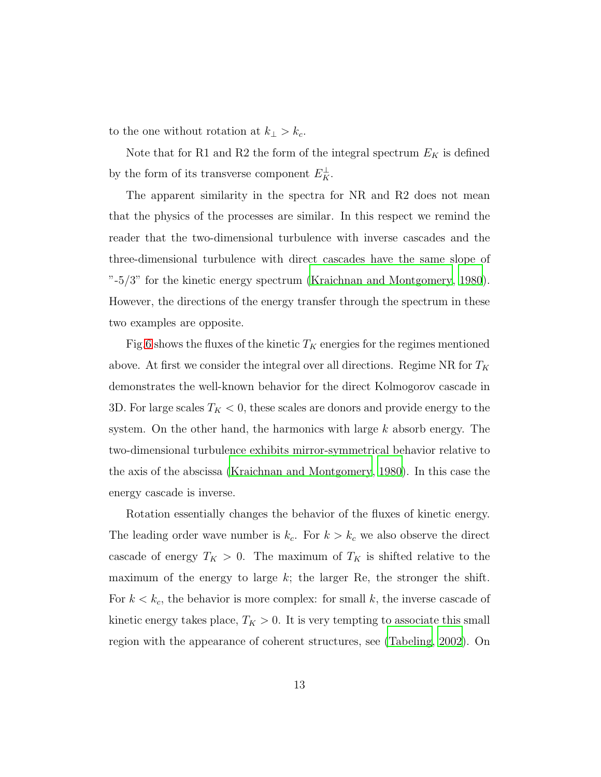to the one without rotation at  $k_{\perp} > k_c$ .

Note that for R1 and R2 the form of the integral spectrum  $E_K$  is defined by the form of its transverse component  $E_K^{\perp}$ .

The apparent similarity in the spectra for NR and R2 does not mean that the physics of the processes are similar. In this respect we remind the reader that the two-dimensional turbulence with inverse cascades and the three-dimensional turbulence with direct cascades have the same slope of  $"$ -5/3" for the kinetic energy spectrum [\(Kraichnan and Montgomery](#page-19-13), [1980\)](#page-19-13). However, the directions of the energy transfer through the spectrum in these two examples are opposite.

Fig[.6](#page-26-0) shows the fluxes of the kinetic  $T_K$  energies for the regimes mentioned above. At first we consider the integral over all directions. Regime NR for  $T_K$ demonstrates the well-known behavior for the direct Kolmogorov cascade in 3D. For large scales  $T_K < 0$ , these scales are donors and provide energy to the system. On the other hand, the harmonics with large  $k$  absorb energy. The two-dimensional turbulence exhibits mirror-symmetrical behavior relative to the axis of the abscissa [\(Kraichnan and Montgomery](#page-19-13), [1980\)](#page-19-13). In this case the energy cascade is inverse.

Rotation essentially changes the behavior of the fluxes of kinetic energy. The leading order wave number is  $k_c$ . For  $k > k_c$  we also observe the direct cascade of energy  $T_K > 0$ . The maximum of  $T_K$  is shifted relative to the maximum of the energy to large  $k$ ; the larger Re, the stronger the shift. For  $k < k_c$ , the behavior is more complex: for small k, the inverse cascade of kinetic energy takes place,  $T_K > 0$ . It is very tempting to associate this small region with the appearance of coherent structures, see [\(Tabeling](#page-20-10), [2002\)](#page-20-10). On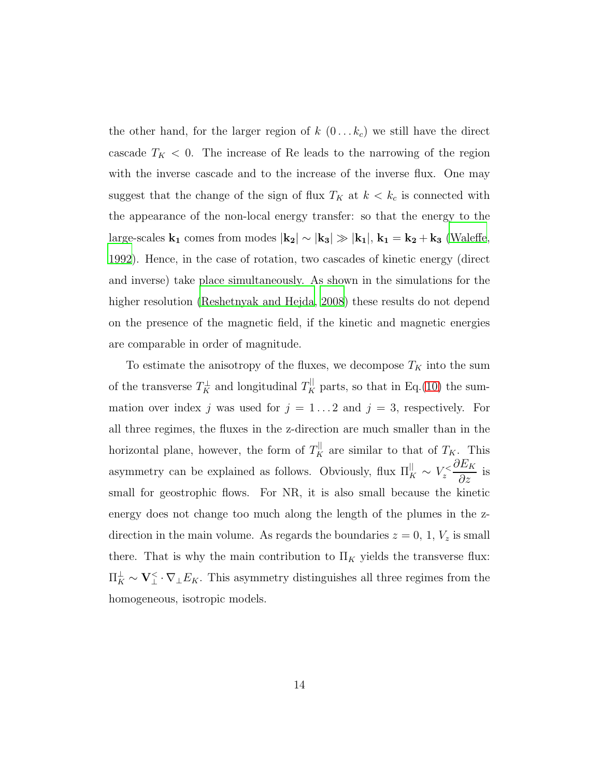the other hand, for the larger region of  $k$   $(0 \dots k_c)$  we still have the direct cascade  $T_K$  < 0. The increase of Re leads to the narrowing of the region with the inverse cascade and to the increase of the inverse flux. One may suggest that the change of the sign of flux  $T_K$  at  $k < k_c$  is connected with the appearance of the non-local energy transfer: so that the energy to the large-scales  $k_1$  comes from modes  $|k_2| \sim |k_3| \gg |k_1|, k_1 = k_2 + k_3$  [\(Waleffe](#page-20-11), [1992](#page-20-11)). Hence, in the case of rotation, two cascades of kinetic energy (direct and inverse) take place simultaneously. As shown in the simulations for the higher resolution [\(Reshetnyak and Hejda](#page-20-5), [2008\)](#page-20-5) these results do not depend on the presence of the magnetic field, if the kinetic and magnetic energies are comparable in order of magnitude.

To estimate the anisotropy of the fluxes, we decompose  $T_K$  into the sum of the transverse  $T_K^{\perp}$  and longitudinal  $T_K^{\parallel}$  parts, so that in Eq.[\(10\)](#page-6-0) the summation over index j was used for  $j = 1...2$  and  $j = 3$ , respectively. For all three regimes, the fluxes in the z-direction are much smaller than in the horizontal plane, however, the form of  $T_K^{\parallel}$  are similar to that of  $T_K$ . This asymmetry can be explained as follows. Obviously, flux  $\Pi_K^{\parallel} \sim V_z^{\lt}$  $\partial E_K$  $rac{\overline{a}}{\partial z}$  is small for geostrophic flows. For NR, it is also small because the kinetic energy does not change too much along the length of the plumes in the zdirection in the main volume. As regards the boundaries  $z = 0, 1, V_z$  is small there. That is why the main contribution to  $\Pi_K$  yields the transverse flux:  $\Pi_K^{\perp} \sim \mathbf{V}_{\perp}^{\lt} \cdot \nabla_{\perp} E_K$ . This asymmetry distinguishes all three regimes from the homogeneous, isotropic models.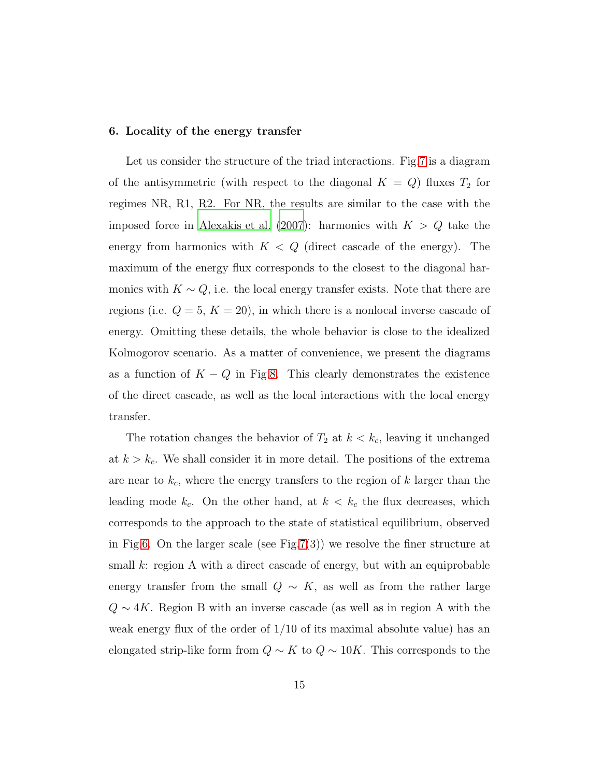## 6. Locality of the energy transfer

Let us consider the structure of the triad interactions. Fig[.7](#page-27-0) is a diagram of the antisymmetric (with respect to the diagonal  $K = Q$ ) fluxes  $T_2$  for regimes NR, R1, R2. For NR, the results are similar to the case with the imposed force in [Alexakis et al. \(2007](#page-18-6)): harmonics with  $K > Q$  take the energy from harmonics with  $K < Q$  (direct cascade of the energy). The maximum of the energy flux corresponds to the closest to the diagonal harmonics with  $K \sim Q$ , i.e. the local energy transfer exists. Note that there are regions (i.e.  $Q = 5, K = 20$ ), in which there is a nonlocal inverse cascade of energy. Omitting these details, the whole behavior is close to the idealized Kolmogorov scenario. As a matter of convenience, we present the diagrams as a function of  $K - Q$  in Fig[.8.](#page-28-0) This clearly demonstrates the existence of the direct cascade, as well as the local interactions with the local energy transfer.

The rotation changes the behavior of  $T_2$  at  $k < k_c$ , leaving it unchanged at  $k > k_c$ . We shall consider it in more detail. The positions of the extrema are near to  $k_c$ , where the energy transfers to the region of k larger than the leading mode  $k_c$ . On the other hand, at  $k < k_c$  the flux decreases, which corresponds to the approach to the state of statistical equilibrium, observed in Fig[.6.](#page-26-0) On the larger scale (see Fig[.7\(](#page-27-0)3)) we resolve the finer structure at small  $k$ : region A with a direct cascade of energy, but with an equiprobable energy transfer from the small  $Q \sim K$ , as well as from the rather large  $Q \sim 4K$ . Region B with an inverse cascade (as well as in region A with the weak energy flux of the order of  $1/10$  of its maximal absolute value) has an elongated strip-like form from  $Q \sim K$  to  $Q \sim 10K$ . This corresponds to the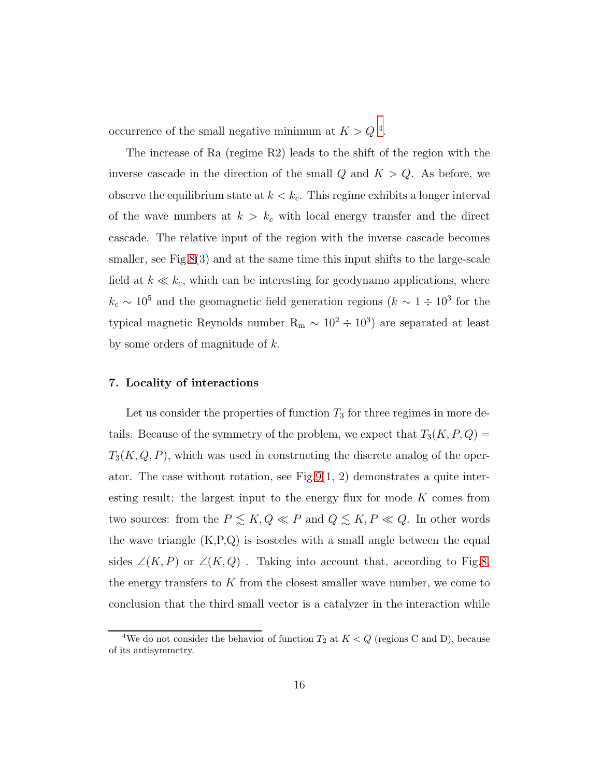occurrence of the small negative minimum at  $K > Q<sup>4</sup>$  $K > Q<sup>4</sup>$  $K > Q<sup>4</sup>$ .

The increase of Ra (regime R2) leads to the shift of the region with the inverse cascade in the direction of the small  $Q$  and  $K > Q$ . As before, we observe the equilibrium state at  $k < k_c$ . This regime exhibits a longer interval of the wave numbers at  $k > k_c$  with local energy transfer and the direct cascade. The relative input of the region with the inverse cascade becomes smaller, see Fig[.8\(](#page-28-0)3) and at the same time this input shifts to the large-scale field at  $k \ll k_c$ , which can be interesting for geodynamo applications, where  $k_c \sim 10^5$  and the geomagnetic field generation regions  $(k \sim 1 \div 10^3$  for the typical magnetic Reynolds number  $R_m \sim 10^2 \div 10^3$  are separated at least by some orders of magnitude of  $k$ .

### 7. Locality of interactions

Let us consider the properties of function  $T_3$  for three regimes in more details. Because of the symmetry of the problem, we expect that  $T_3(K, P, Q)$  $T_3(K, Q, P)$ , which was used in constructing the discrete analog of the operator. The case without rotation, see Fig.  $9(1, 2)$  demonstrates a quite interesting result: the largest input to the energy flux for mode  $K$  comes from two sources: from the  $P \leq K$ ,  $Q \ll P$  and  $Q \leq K$ ,  $P \ll Q$ . In other words the wave triangle  $(K, P, Q)$  is isosceles with a small angle between the equal sides  $\angle(K, P)$  or  $\angle(K, Q)$ . Taking into account that, according to Fig[.8,](#page-28-0) the energy transfers to  $K$  from the closest smaller wave number, we come to conclusion that the third small vector is a catalyzer in the interaction while

<span id="page-15-0"></span><sup>&</sup>lt;sup>4</sup>We do not consider the behavior of function  $T_2$  at  $K < Q$  (regions C and D), because of its antisymmetry.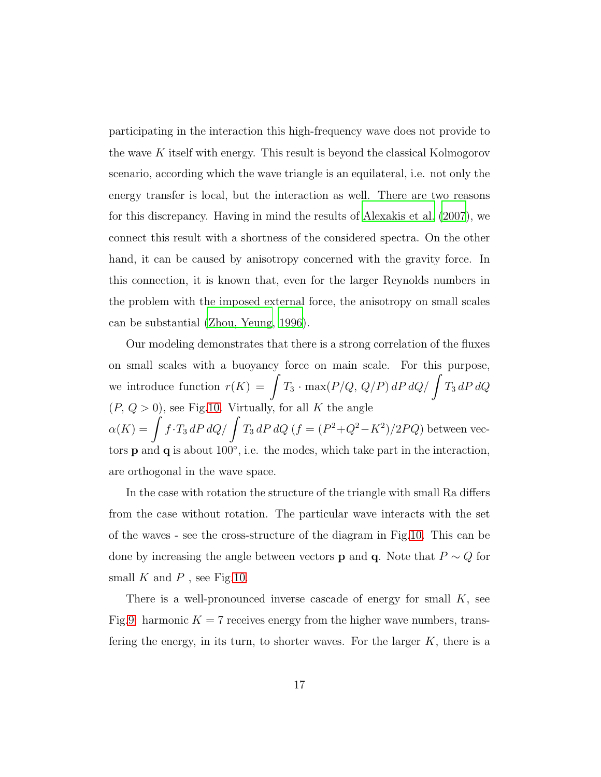participating in the interaction this high-frequency wave does not provide to the wave  $K$  itself with energy. This result is beyond the classical Kolmogorov scenario, according which the wave triangle is an equilateral, i.e. not only the energy transfer is local, but the interaction as well. There are two reasons for this discrepancy. Having in mind the results of [Alexakis et al. \(2007\)](#page-18-6), we connect this result with a shortness of the considered spectra. On the other hand, it can be caused by anisotropy concerned with the gravity force. In this connection, it is known that, even for the larger Reynolds numbers in the problem with the imposed external force, the anisotropy on small scales can be substantial [\(Zhou, Yeung](#page-20-12), [1996](#page-20-12)).

Our modeling demonstrates that there is a strong correlation of the fluxes on small scales with a buoyancy force on main scale. For this purpose, we introduce function  $r(K) = \int T_3 \cdot \max(P/Q, Q/P) dP dQ / \int T_3 dP dQ$  $(P, Q > 0)$ , see Fig[.10.](#page-30-0) Virtually, for all K the angle  $\alpha(K) = \int f \cdot T_3 dP dQ / \int T_3 dP dQ (f = (P^2 + Q^2 - K^2)/2PQ)$  between vectors  $\bf{p}$  and  $\bf{q}$  is about 100 $^{\circ}$ , i.e. the modes, which take part in the interaction, are orthogonal in the wave space.

In the case with rotation the structure of the triangle with small Ra differs from the case without rotation. The particular wave interacts with the set of the waves - see the cross-structure of the diagram in Fig[.10.](#page-30-0) This can be done by increasing the angle between vectors **p** and **q**. Note that  $P \sim Q$  for small  $K$  and  $P$ , see Fig[.10.](#page-30-0)

There is a well-pronounced inverse cascade of energy for small  $K$ , see Fig[.9:](#page-29-0) harmonic  $K = 7$  receives energy from the higher wave numbers, transfering the energy, in its turn, to shorter waves. For the larger  $K$ , there is a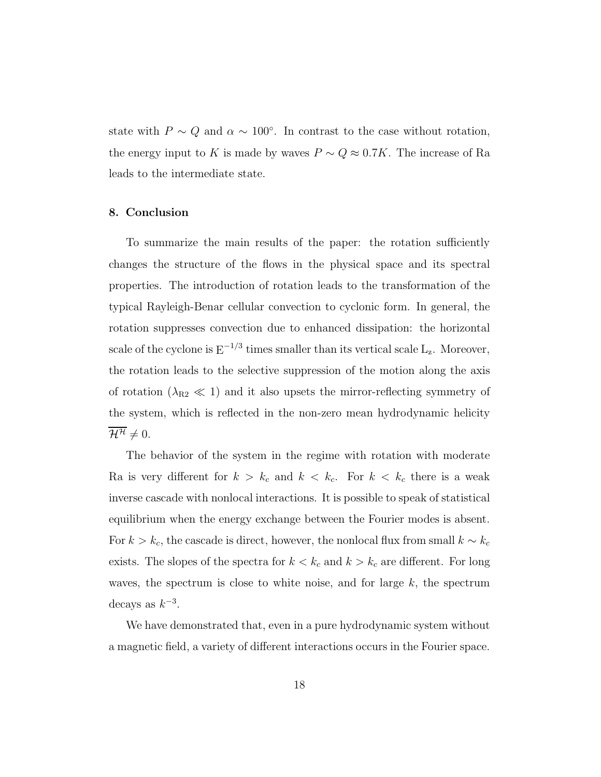state with  $P \sim Q$  and  $\alpha \sim 100^{\circ}$ . In contrast to the case without rotation, the energy input to  $K$  is made by waves  $P\sim Q\approx 0.7K.$  The increase of Ra leads to the intermediate state.

# 8. Conclusion

To summarize the main results of the paper: the rotation sufficiently changes the structure of the flows in the physical space and its spectral properties. The introduction of rotation leads to the transformation of the typical Rayleigh-Benar cellular convection to cyclonic form. In general, the rotation suppresses convection due to enhanced dissipation: the horizontal scale of the cyclone is  $E^{-1/3}$  times smaller than its vertical scale  $L_z$ . Moreover, the rotation leads to the selective suppression of the motion along the axis of rotation ( $\lambda_{\text{R2}} \ll 1$ ) and it also upsets the mirror-reflecting symmetry of the system, which is reflected in the non-zero mean hydrodynamic helicity  $\overline{\mathcal{H}^{\mathcal{H}}} \neq 0.$ 

The behavior of the system in the regime with rotation with moderate Ra is very different for  $k > k_c$  and  $k < k_c$ . For  $k < k_c$  there is a weak inverse cascade with nonlocal interactions. It is possible to speak of statistical equilibrium when the energy exchange between the Fourier modes is absent. For  $k > k_c$ , the cascade is direct, however, the nonlocal flux from small  $k \sim k_c$ exists. The slopes of the spectra for  $k < k_c$  and  $k > k_c$  are different. For long waves, the spectrum is close to white noise, and for large  $k$ , the spectrum decays as  $k^{-3}$ .

We have demonstrated that, even in a pure hydrodynamic system without a magnetic field, a variety of different interactions occurs in the Fourier space.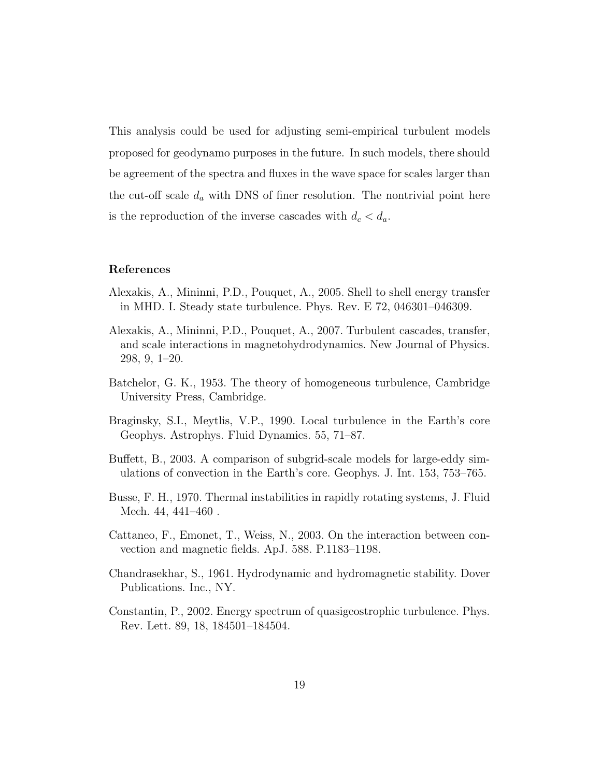This analysis could be used for adjusting semi-empirical turbulent models proposed for geodynamo purposes in the future. In such models, there should be agreement of the spectra and fluxes in the wave space for scales larger than the cut-off scale  $d_a$  with DNS of finer resolution. The nontrivial point here is the reproduction of the inverse cascades with  $d_c < d_a$ .

## References

- <span id="page-18-7"></span>Alexakis, A., Mininni, P.D., Pouquet, A., 2005. Shell to shell energy transfer in MHD. I. Steady state turbulence. Phys. Rev. E 72, 046301–046309.
- <span id="page-18-6"></span>Alexakis, A., Mininni, P.D., Pouquet, A., 2007. Turbulent cascades, transfer, and scale interactions in magnetohydrodynamics. New Journal of Physics. 298, 9, 1–20.
- <span id="page-18-8"></span>Batchelor, G. K., 1953. The theory of homogeneous turbulence, Cambridge University Press, Cambridge.
- <span id="page-18-0"></span>Braginsky, S.I., Meytlis, V.P., 1990. Local turbulence in the Earth's core Geophys. Astrophys. Fluid Dynamics. 55, 71–87.
- <span id="page-18-5"></span>Buffett, B., 2003. A comparison of subgrid-scale models for large-eddy simulations of convection in the Earth's core. Geophys. J. Int. 153, 753–765.
- <span id="page-18-3"></span>Busse, F. H., 1970. Thermal instabilities in rapidly rotating systems, J. Fluid Mech. 44, 441–460 .
- <span id="page-18-4"></span>Cattaneo, F., Emonet, T., Weiss, N., 2003. On the interaction between convection and magnetic fields. ApJ. 588. P.1183–1198.
- <span id="page-18-2"></span>Chandrasekhar, S., 1961. Hydrodynamic and hydromagnetic stability. Dover Publications. Inc., NY.
- <span id="page-18-1"></span>Constantin, P., 2002. Energy spectrum of quasigeostrophic turbulence. Phys. Rev. Lett. 89, 18, 184501–184504.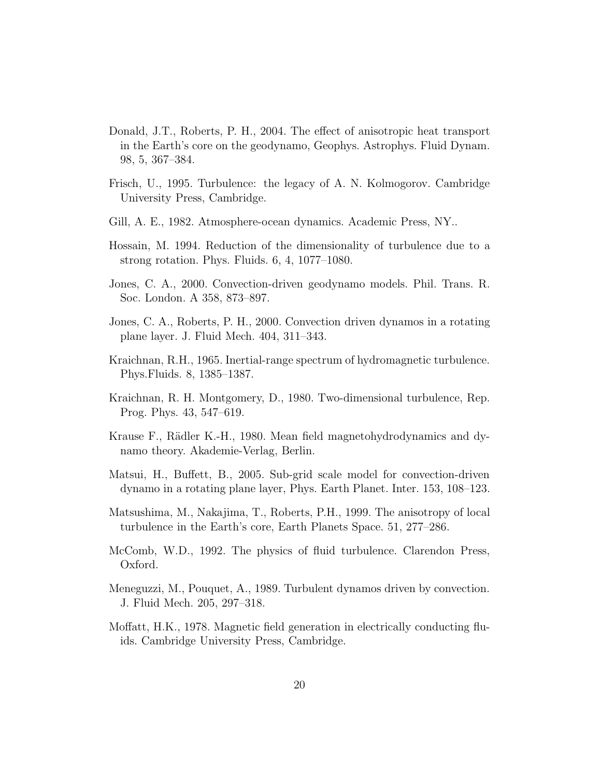- <span id="page-19-2"></span>Donald, J.T., Roberts, P. H., 2004. The effect of anisotropic heat transport in the Earth's core on the geodynamo, Geophys. Astrophys. Fluid Dynam. 98, 5, 367–384.
- <span id="page-19-8"></span>Frisch, U., 1995. Turbulence: the legacy of A. N. Kolmogorov. Cambridge University Press, Cambridge.
- <span id="page-19-0"></span>Gill, A. E., 1982. Atmosphere-ocean dynamics. Academic Press, NY..
- <span id="page-19-3"></span>Hossain, M. 1994. Reduction of the dimensionality of turbulence due to a strong rotation. Phys. Fluids. 6, 4, 1077–1080.
- <span id="page-19-6"></span>Jones, C. A., 2000. Convection-driven geodynamo models. Phil. Trans. R. Soc. London. A 358, 873–897.
- <span id="page-19-7"></span>Jones, C. A., Roberts, P. H., 2000. Convection driven dynamos in a rotating plane layer. J. Fluid Mech. 404, 311–343.
- <span id="page-19-12"></span>Kraichnan, R.H., 1965. Inertial-range spectrum of hydromagnetic turbulence. Phys.Fluids. 8, 1385–1387.
- <span id="page-19-13"></span>Kraichnan, R. H. Montgomery, D., 1980. Two-dimensional turbulence, Rep. Prog. Phys. 43, 547–619.
- <span id="page-19-11"></span>Krause F., Rädler K.-H., 1980. Mean field magnetohydrodynamics and dynamo theory. Akademie-Verlag, Berlin.
- <span id="page-19-5"></span>Matsui, H., Buffett, B., 2005. Sub-grid scale model for convection-driven dynamo in a rotating plane layer, Phys. Earth Planet. Inter. 153, 108–123.
- <span id="page-19-1"></span>Matsushima, M., Nakajima, T., Roberts, P.H., 1999. The anisotropy of local turbulence in the Earth's core, Earth Planets Space. 51, 277–286.
- <span id="page-19-4"></span>McComb, W.D., 1992. The physics of fluid turbulence. Clarendon Press, Oxford.
- <span id="page-19-9"></span>Meneguzzi, M., Pouquet, A., 1989. Turbulent dynamos driven by convection. J. Fluid Mech. 205, 297–318.
- <span id="page-19-10"></span>Moffatt, H.K., 1978. Magnetic field generation in electrically conducting fluids. Cambridge University Press, Cambridge.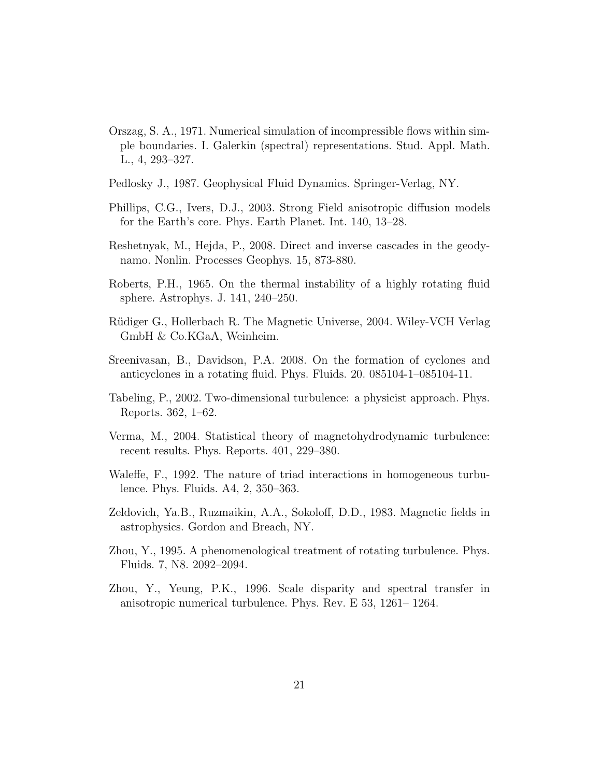- <span id="page-20-6"></span>Orszag, S. A., 1971. Numerical simulation of incompressible flows within simple boundaries. I. Galerkin (spectral) representations. Stud. Appl. Math. L., 4, 293–327.
- <span id="page-20-3"></span>Pedlosky J., 1987. Geophysical Fluid Dynamics. Springer-Verlag, NY.
- <span id="page-20-4"></span>Phillips, C.G., Ivers, D.J., 2003. Strong Field anisotropic diffusion models for the Earth's core. Phys. Earth Planet. Int. 140, 13–28.
- <span id="page-20-5"></span>Reshetnyak, M., Hejda, P., 2008. Direct and inverse cascades in the geodynamo. Nonlin. Processes Geophys. 15, 873-880.
- <span id="page-20-1"></span>Roberts, P.H., 1965. On the thermal instability of a highly rotating fluid sphere. Astrophys. J. 141, 240–250.
- <span id="page-20-2"></span>Rüdiger G., Hollerbach R. The Magnetic Universe, 2004. Wiley-VCH Verlag GmbH & Co.KGaA, Weinheim.
- <span id="page-20-9"></span>Sreenivasan, B., Davidson, P.A. 2008. On the formation of cyclones and anticyclones in a rotating fluid. Phys. Fluids. 20. 085104-1–085104-11.
- <span id="page-20-10"></span>Tabeling, P., 2002. Two-dimensional turbulence: a physicist approach. Phys. Reports. 362, 1–62.
- <span id="page-20-7"></span>Verma, M., 2004. Statistical theory of magnetohydrodynamic turbulence: recent results. Phys. Reports. 401, 229–380.
- <span id="page-20-11"></span>Waleffe, F., 1992. The nature of triad interactions in homogeneous turbulence. Phys. Fluids. A4, 2, 350–363.
- <span id="page-20-8"></span>Zeldovich, Ya.B., Ruzmaikin, A.A., Sokoloff, D.D., 1983. Magnetic fields in astrophysics. Gordon and Breach, NY.
- <span id="page-20-0"></span>Zhou, Y., 1995. A phenomenological treatment of rotating turbulence. Phys. Fluids. 7, N8. 2092–2094.
- <span id="page-20-12"></span>Zhou, Y., Yeung, P.K., 1996. Scale disparity and spectral transfer in anisotropic numerical turbulence. Phys. Rev. E 53, 1261– 1264.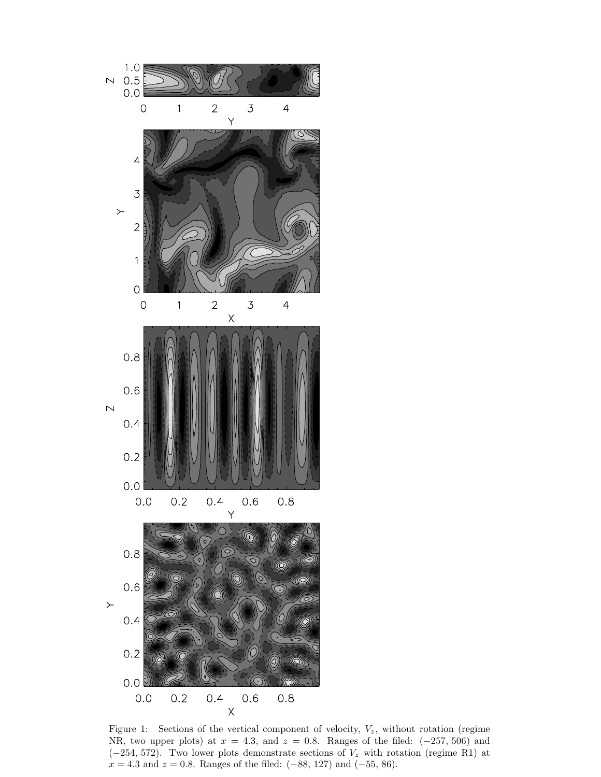

<span id="page-21-0"></span>Figure 1: Sections of the vertical component of velocity,  $V_z$ , without rotation (regime NR, two upper plots) at  $x = 4.3$ , and  $z = 0.8$ . Ranges of the filed: (-257, 506) and  $(-254, 572)$ . Two lower plots demonstrate sections of  $V<sub>z</sub>$  with rotation (regime R1) at  $x = 4.3$  and  $z = 0.8$ . Ranges of the filed: (−88, 127) and (−55, 86).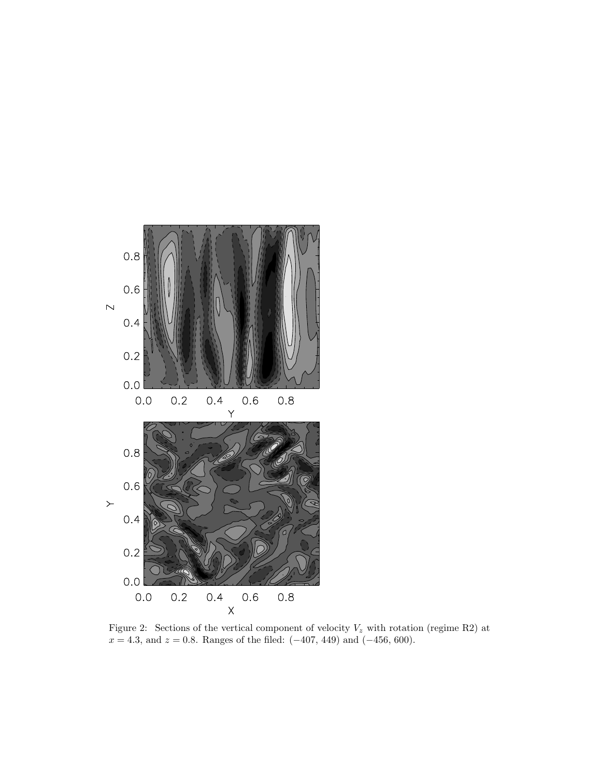

<span id="page-22-0"></span>Figure 2: Sections of the vertical component of velocity  $V_z$  with rotation (regime R2) at  $x = 4.3$ , and  $z = 0.8$ . Ranges of the filed:  $(-407, 449)$  and  $(-456, 600)$ .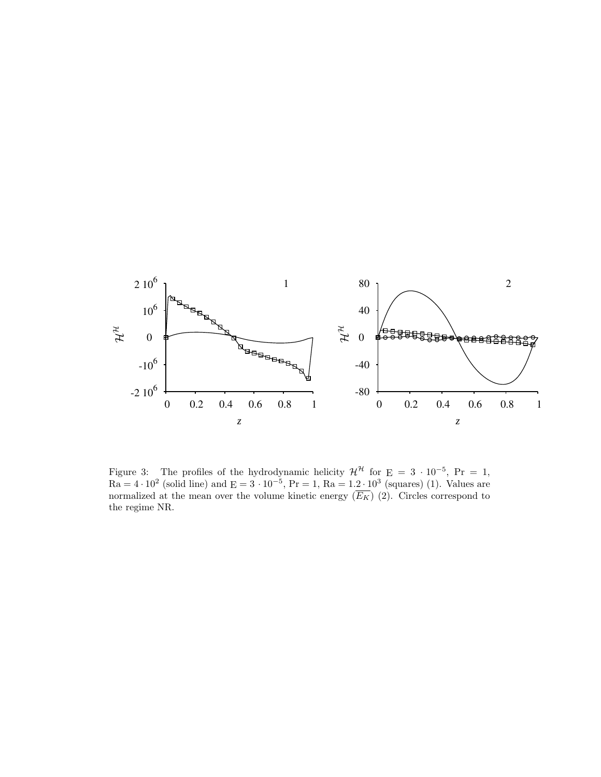

PSfrag replacements

<span id="page-23-0"></span>Figure 3: The profiles of the hydrodynamic helicity  $\mathcal{H}^{\mathcal{H}}$  for  $E = 3 \cdot 10^{-5}$ ,  $Pr = 1$ ,  $Ra = 4 \cdot 10^2$  (solid line) and  $E = 3 \cdot 10^{-5}$ ,  $Pr = 1$ ,  $Ra = 1.2 \cdot 10^3$  (squares) (1). Values are normalized at the mean over the volume kinetic energy  $(E_K)$  (2). Circles correspond to the regime NR.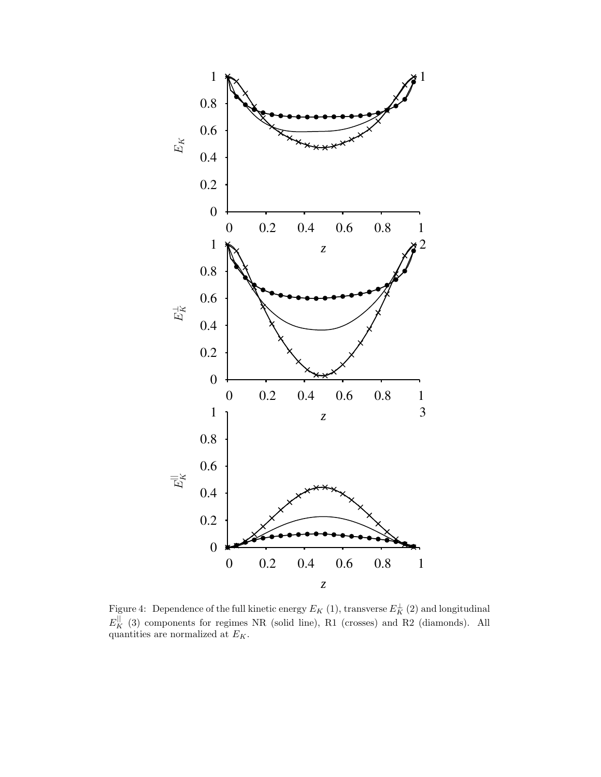

<span id="page-24-0"></span>Figure 4: Dependence of the full kinetic energy  $E_K$  (1), transverse  $E_K^{\perp}$  (2) and longitudinal  $E_K^{||}$  (3) components for regimes NR (solid line), R1 (crosses) and R2 (diamonds). All quantities are normalized at  $E_K$ .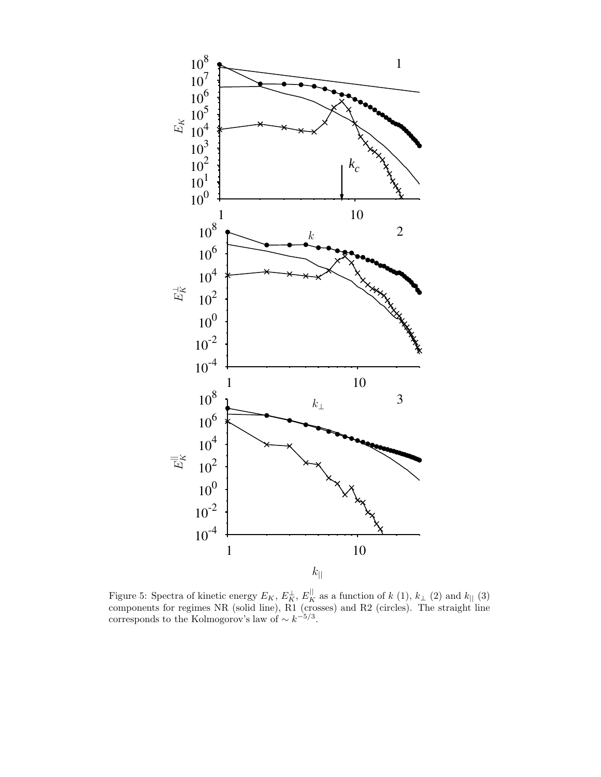

<span id="page-25-0"></span>Figure 5: Spectra of kinetic energy  $E_K$ ,  $E_K^{\perp}$ ,  $E_K^{||}$  as a function of k (1),  $k_{\perp}$  (2) and  $k_{||}$  (3) components for regimes NR (solid line), R1 (crosses) and R2 (circles). The straight line corresponds to the Kolmogorov's law of  $\sim k^{-5/3}$ .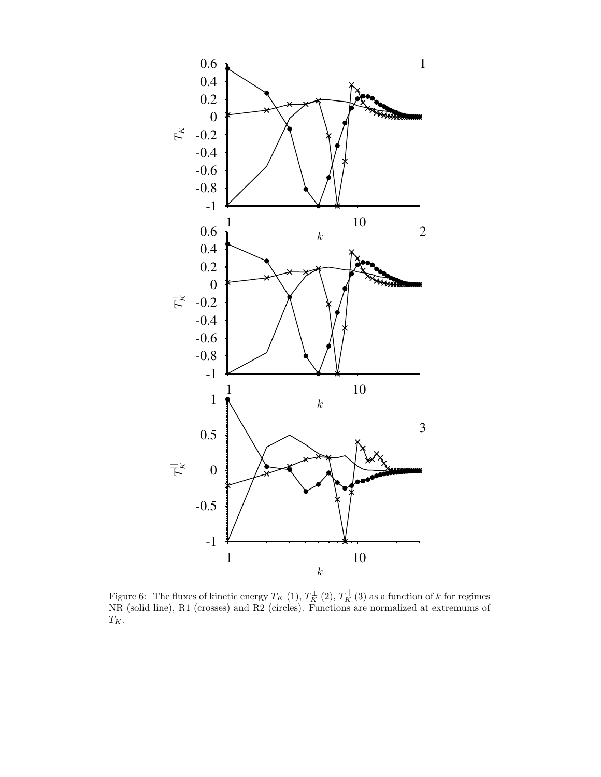

<span id="page-26-0"></span>Figure 6: The fluxes of kinetic energy  $T_K$  (1),  $T_K^{\perp}$  (2),  $T_K^{\parallel}$  (3) as a function of k for regimes NR (solid line), R1 (crosses) and R2 (circles). Functions are normalized at extremums of  $T_K$ .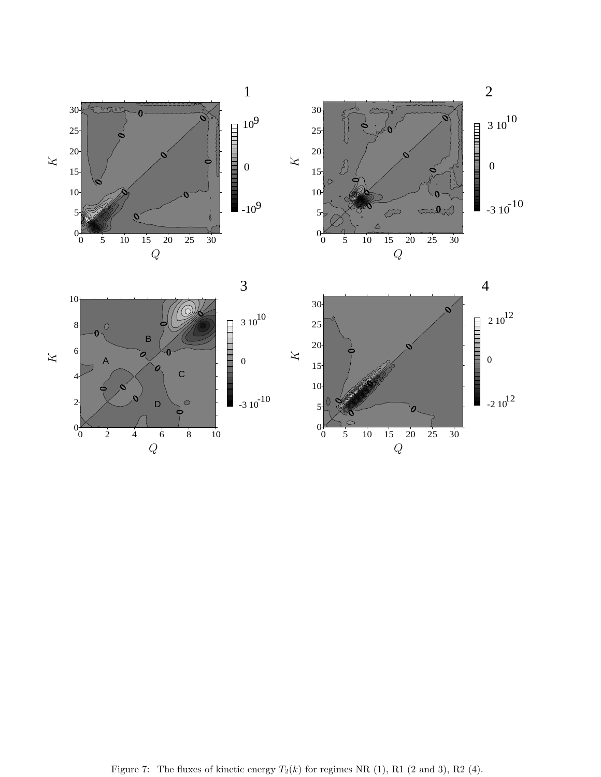







<span id="page-27-0"></span>Figure 7: The fluxes of kinetic energy  $T_2(k)$  for regimes NR (1), R1 (2 and 3), R2 (4).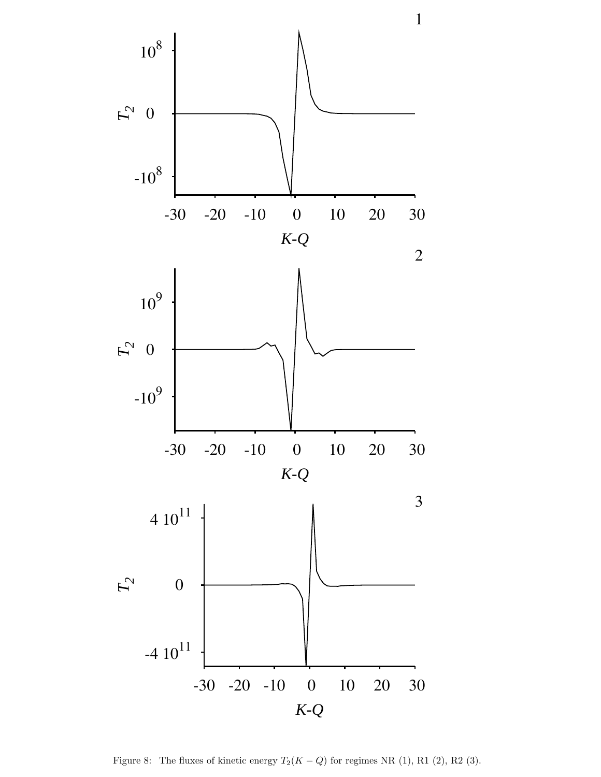

<span id="page-28-0"></span>Figure 8: The fluxes of kinetic energy  $T_2(K-Q)$  for regimes NR (1), R1 (2), R2 (3).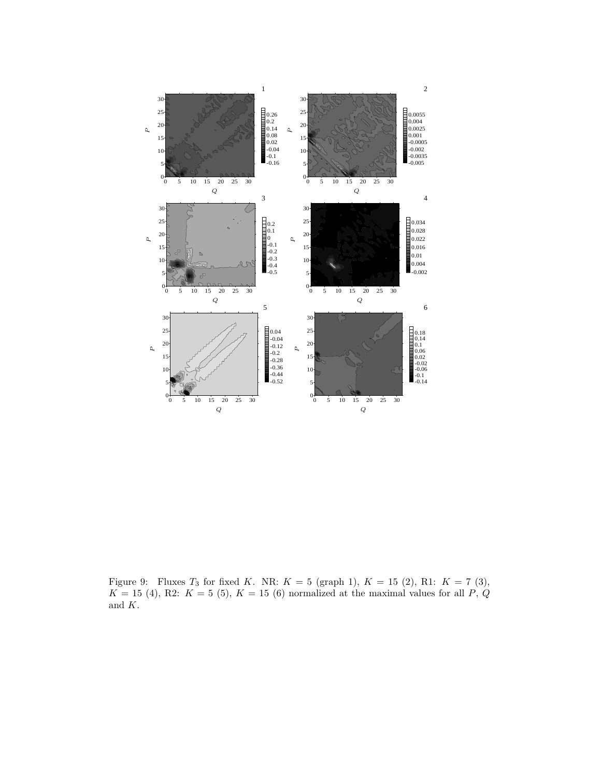

PSfrag replacements

<span id="page-29-0"></span>Figure 9: Fluxes  $T_3$  for fixed K. NR:  $K = 5$  (graph 1),  $K = 15$  (2), R1:  $K = 7$  (3),  $K = 15$  (4), R2:  $K = 5$  (5),  $K = 15$  (6) normalized at the maximal values for all P, Q and K.